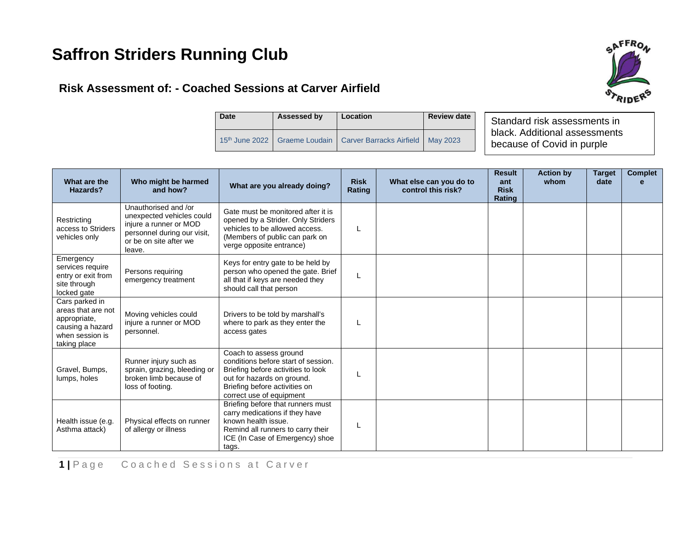# **Saffron Striders Running Club**



# **Risk Assessment of: - Coached Sessions at Carver Airfield**

| <b>Date</b> | Assessed by | Location                                                              | <b>Review date</b> |  |
|-------------|-------------|-----------------------------------------------------------------------|--------------------|--|
|             |             | 15th June 2022   Graeme Loudain   Carver Barracks Airfield   May 2023 |                    |  |

Standard risk assessments in black. Additional assessments because of Covid in purple

| What are the<br>Hazards?                                                                                    | Who might be harmed<br>and how?                                                                                                                | What are you already doing?                                                                                                                                                                    | <b>Risk</b><br><b>Rating</b> | What else can you do to<br>control this risk? | <b>Result</b><br>ant<br><b>Risk</b><br>Rating | <b>Action by</b><br>whom | <b>Target</b><br>date | <b>Complet</b> |
|-------------------------------------------------------------------------------------------------------------|------------------------------------------------------------------------------------------------------------------------------------------------|------------------------------------------------------------------------------------------------------------------------------------------------------------------------------------------------|------------------------------|-----------------------------------------------|-----------------------------------------------|--------------------------|-----------------------|----------------|
| Restricting<br>access to Striders<br>vehicles only                                                          | Unauthorised and /or<br>unexpected vehicles could<br>injure a runner or MOD<br>personnel during our visit,<br>or be on site after we<br>leave. | Gate must be monitored after it is<br>opened by a Strider. Only Striders<br>vehicles to be allowed access.<br>(Members of public can park on<br>verge opposite entrance)                       | L                            |                                               |                                               |                          |                       |                |
| Emergency<br>services require<br>entry or exit from<br>site through<br>locked gate                          | Persons requiring<br>emergency treatment                                                                                                       | Keys for entry gate to be held by<br>person who opened the gate. Brief<br>all that if keys are needed they<br>should call that person                                                          | L                            |                                               |                                               |                          |                       |                |
| Cars parked in<br>areas that are not<br>appropriate,<br>causing a hazard<br>when session is<br>taking place | Moving vehicles could<br>injure a runner or MOD<br>personnel.                                                                                  | Drivers to be told by marshall's<br>where to park as they enter the<br>access gates                                                                                                            | L                            |                                               |                                               |                          |                       |                |
| Gravel, Bumps,<br>lumps, holes                                                                              | Runner injury such as<br>sprain, grazing, bleeding or<br>broken limb because of<br>loss of footing.                                            | Coach to assess ground<br>conditions before start of session.<br>Briefing before activities to look<br>out for hazards on ground.<br>Briefing before activities on<br>correct use of equipment | L                            |                                               |                                               |                          |                       |                |
| Health issue (e.g.<br>Asthma attack)                                                                        | Physical effects on runner<br>of allergy or illness                                                                                            | Briefing before that runners must<br>carry medications if they have<br>known health issue.<br>Remind all runners to carry their<br>ICE (In Case of Emergency) shoe<br>tags.                    | L                            |                                               |                                               |                          |                       |                |

**1** | Page Coached Sessions at Carver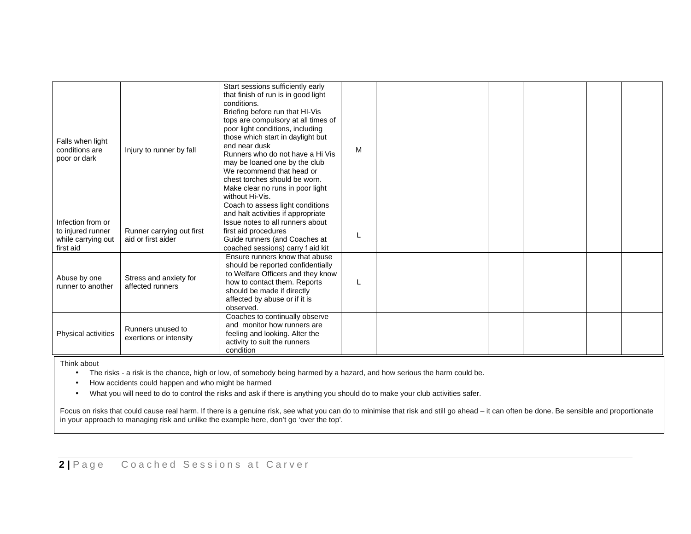| Falls when light<br>conditions are<br>poor or dark                        | Injury to runner by fall                        | Start sessions sufficiently early<br>that finish of run is in good light<br>conditions.<br>Briefing before run that HI-Vis<br>tops are compulsory at all times of<br>poor light conditions, including<br>those which start in daylight but<br>end near dusk<br>Runners who do not have a Hi Vis<br>may be loaned one by the club<br>We recommend that head or<br>chest torches should be worn.<br>Make clear no runs in poor light<br>without Hi-Vis.<br>Coach to assess light conditions<br>and halt activities if appropriate | M |  |  |  |
|---------------------------------------------------------------------------|-------------------------------------------------|---------------------------------------------------------------------------------------------------------------------------------------------------------------------------------------------------------------------------------------------------------------------------------------------------------------------------------------------------------------------------------------------------------------------------------------------------------------------------------------------------------------------------------|---|--|--|--|
| Infection from or<br>to injured runner<br>while carrying out<br>first aid | Runner carrying out first<br>aid or first aider | Issue notes to all runners about<br>first aid procedures<br>Guide runners (and Coaches at<br>coached sessions) carry f aid kit                                                                                                                                                                                                                                                                                                                                                                                                  |   |  |  |  |
| Abuse by one<br>runner to another                                         | Stress and anxiety for<br>affected runners      | Ensure runners know that abuse<br>should be reported confidentially<br>to Welfare Officers and they know<br>how to contact them. Reports<br>should be made if directly<br>affected by abuse or if it is<br>observed.                                                                                                                                                                                                                                                                                                            | L |  |  |  |
| Physical activities                                                       | Runners unused to<br>exertions or intensity     | Coaches to continually observe<br>and monitor how runners are<br>feeling and looking. Alter the<br>activity to suit the runners<br>condition                                                                                                                                                                                                                                                                                                                                                                                    |   |  |  |  |

Think about

• The risks - a risk is the chance, high or low, of somebody being harmed by a hazard, and how serious the harm could be.

• How accidents could happen and who might be harmed

• What you will need to do to control the risks and ask if there is anything you should do to make your club activities safer.

Focus on risks that could cause real harm. If there is a genuine risk, see what you can do to minimise that risk and still go ahead – it can often be done. Be sensible and proportionate in your approach to managing risk and unlike the example here, don't go 'over the top'.